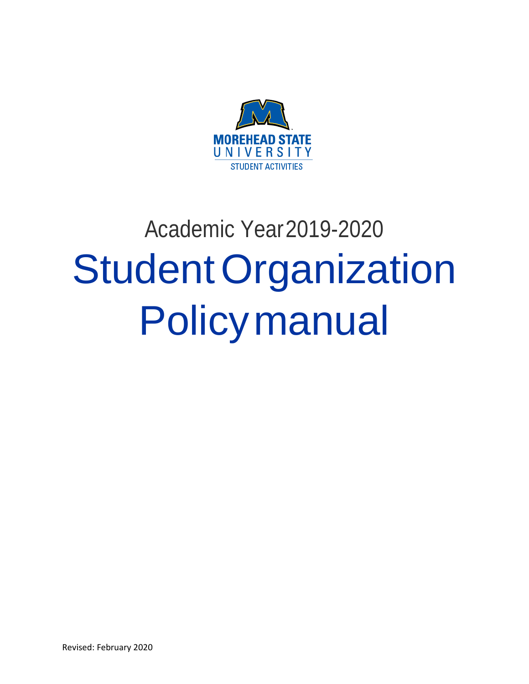

# Academic Year2019-2020 StudentOrganization Policymanual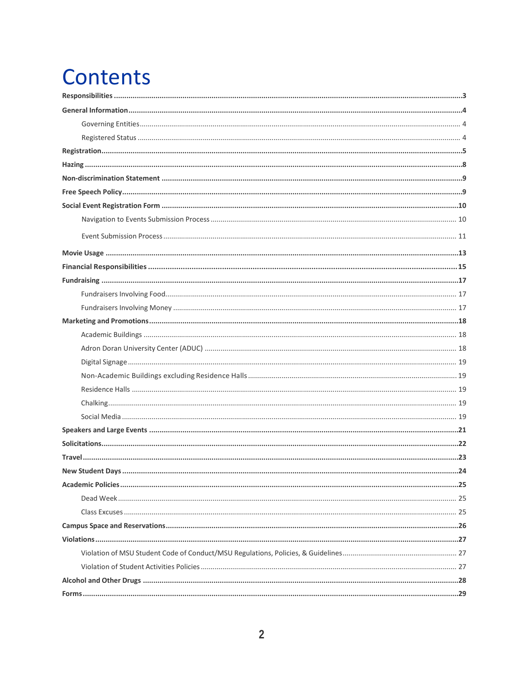## **Contents**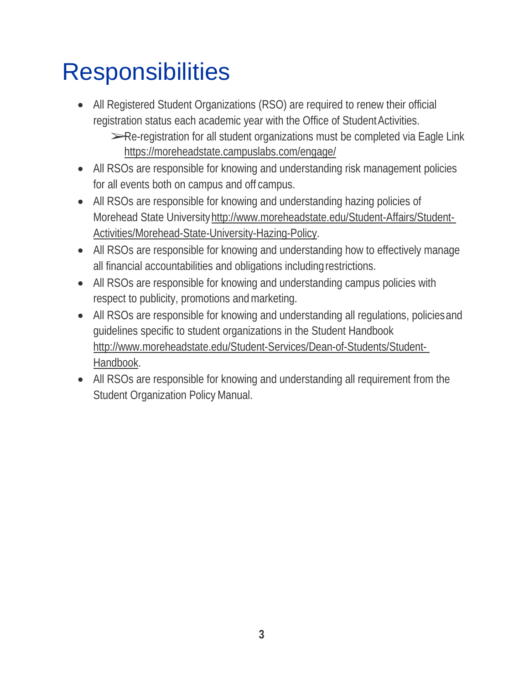## <span id="page-2-0"></span>**Responsibilities**

- All Registered Student Organizations (RSO) are required to renew their official registration status each academic year with the Office of Student Activities. ➢Re-registration for all student organizations must be completed via Eagle Link https://moreheadstate.campuslabs.com/engage/
- All RSOs are responsible for knowing and understanding risk management policies for all events both on campus and off campus.
- All RSOs are responsible for knowing and understanding hazing policies of Morehead State Universit[yhttp://www.moreheadstate.edu/Student-Affairs/Student-](http://www.moreheadstate.edu/Student-Affairs/Student-)Activities/Morehead-State-University-Hazing-Policy.
- All RSOs are responsible for knowing and understanding how to effectively manage all financial accountabilities and obligations includingrestrictions.
- All RSOs are responsible for knowing and understanding campus policies with respect to publicity, promotions and marketing.
- All RSOs are responsible for knowing and understanding all regulations, policies and guidelines specific to student organizations in the Student Handbook <http://www.moreheadstate.edu/Student-Services/Dean-of-Students/Student->Handbook.
- All RSOs are responsible for knowing and understanding all requirement from the Student Organization Policy Manual.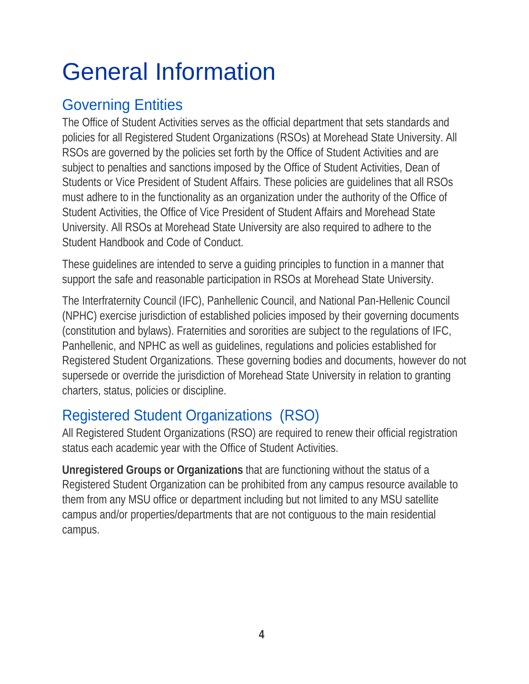## <span id="page-3-0"></span>General Information

## <span id="page-3-1"></span>Governing Entities

The Office of Student Activities serves as the official department that sets standards and policies for all Registered Student Organizations (RSOs) at Morehead State University. All RSOs are governed by the policies set forth by the Office of Student Activities and are subject to penalties and sanctions imposed by the Office of Student Activities, Dean of Students or Vice President of Student Affairs. These policies are guidelines that all RSOs must adhere to in the functionality as an organization under the authority of the Office of Student Activities, the Office of Vice President of Student Affairs and Morehead State University. All RSOs at Morehead State University are also required to adhere to the Student Handbook and Code of Conduct.

These guidelines are intended to serve a guiding principles to function in a manner that support the safe and reasonable participation in RSOs at Morehead State University.

The Interfraternity Council (IFC), Panhellenic Council, and National Pan-Hellenic Council (NPHC) exercise jurisdiction of established policies imposed by their governing documents (constitution and bylaws). Fraternities and sororities are subject to the regulations of IFC, Panhellenic, and NPHC as well as guidelines, regulations and policies established for Registered Student Organizations. These governing bodies and documents, however do not supersede or override the jurisdiction of Morehead State University in relation to granting charters, status, policies or discipline.

## Registered Student Organizations (RSO)

All Registered Student Organizations (RSO) are required to renew their official registration status each academic year with the Office of Student Activities.

**Unregistered Groups or Organizations** that are functioning without the status of a Registered Student Organization can be prohibited from any campus resource available to them from any MSU office or department including but not limited to any MSU satellite campus and/or properties/departments that are not contiguous to the main residential campus.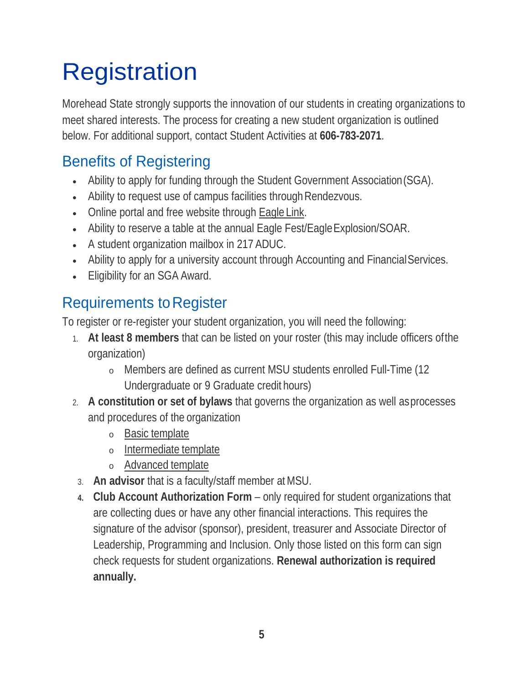## <span id="page-4-0"></span>**Registration**

Morehead State strongly supports the innovation of our students in creating organizations to meet shared interests. The process for creating a new student organization is outlined below. For additional support, contact Student Activities at **606-783-2071**.

## Benefits of Registering

- Ability to apply for funding through the Student Government Association(SGA).
- Ability to request use of campus facilities through Rendezvous.
- Online portal and free website through **Eagle Link**.
- Ability to reserve a table at the annual Eagle Fest/Eagle Explosion/SOAR.
- A student organization mailbox in 217 ADUC.
- Ability to apply for a university account through Accounting and Financial Services.
- Eligibility for an SGA Award.

## **Requirements to Register**

To register or re-register your student organization, you will need the following:

- 1. **At least 8 members** that can be listed on your roster (this may include officers ofthe organization)
	- <sup>o</sup> Members are defined as current MSU students enrolled Full-Time (12 Undergraduate or 9 Graduate credit hours)
- 2. **A constitution or set of bylaws** that governs the organization as well asprocesses and procedures of the organization
	- <sup>o</sup> Basic template
	- <sup>o</sup> Intermediate template
	- <sup>o</sup> Advanced template
- 3. **An advisor** that is a faculty/staff member atMSU.
- **4. Club Account Authorization Form**  only required for student organizations that are collecting dues or have any other financial interactions. This requires the signature of the advisor (sponsor), president, treasurer and Associate Director of Leadership, Programming and Inclusion. Only those listed on this form can sign check requests for student organizations. **Renewal authorization is required annually.**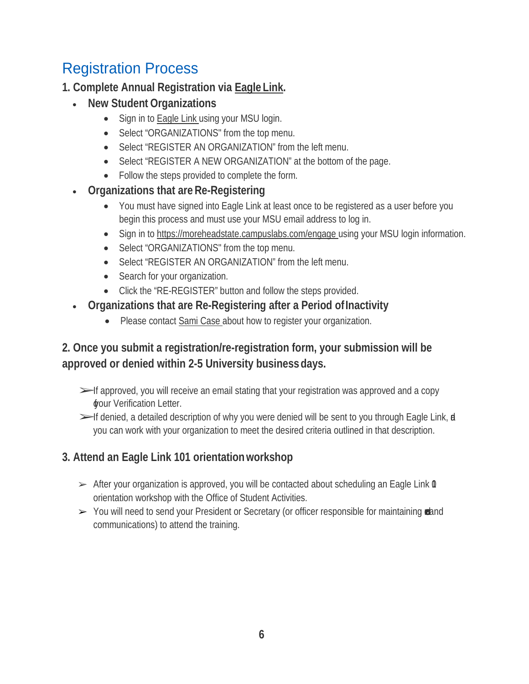## Registration Process

#### **1. Complete Annual Registration via Eagle Link.**

- **New Student Organizations**
	- Sign in to Eagle Link using your MSU login.
	- Select "ORGANIZATIONS" from the top menu.
	- Select "REGISTER AN ORGANIZATION" from the left menu.
	- Select "REGISTER A NEW ORGANIZATION" at the bottom of the page.
	- Follow the steps provided to complete the form.
- **Organizations that areRe-Registering**
	- You must have signed into Eagle Link at least once to be registered as a user before you begin this process and must use your MSU email address to log in.
	- Sign in to https://moreheadstate.campuslabs.com/engage using your MSU login information.
	- Select "ORGANIZATIONS" from the top menu.
	- Select "REGISTER AN ORGANIZATION" from the left menu.
	- Search for your organization.
	- Click the "RE-REGISTER" button and follow the steps provided.
- **Organizations that are Re-Registering after a Period ofInactivity**
	- Please contact Sami Case about how to register your organization.

#### **2. Once you submit a registration/re-registration form, your submission will be approved or denied within 2-5 University businessdays.**

- $\ge$  f approved, you will receive an email stating that your registration was approved and a copy **wour Verification Letter.**
- ►If denied, a detailed description of why you were denied will be sent to you through Eagle Link, **d** you can work with your organization to meet the desired criteria outlined in that description.

#### **3. Attend an Eagle Link 101 orientationworkshop**

- $\triangleright$  After your organization is approved, you will be contacted about scheduling an Eagle Link  $\mathbf 0$ orientation workshop with the Office of Student Activities.
- $>$  You will need to send your President or Secretary (or officer responsible for maintaining reland communications) to attend the training.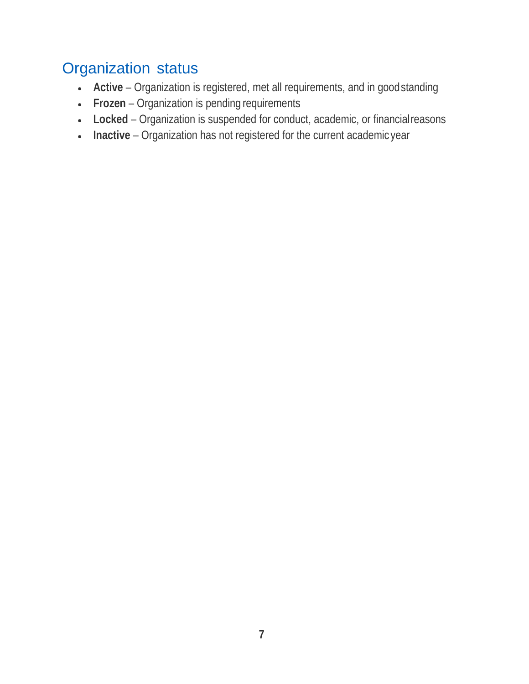## Organization status

- **Active**  Organization is registered, met all requirements, and in goodstanding
- **Frozen**  Organization is pending requirements
- **Locked**  Organization is suspended for conduct, academic, or financialreasons
- **Inactive**  Organization has not registered for the current academic year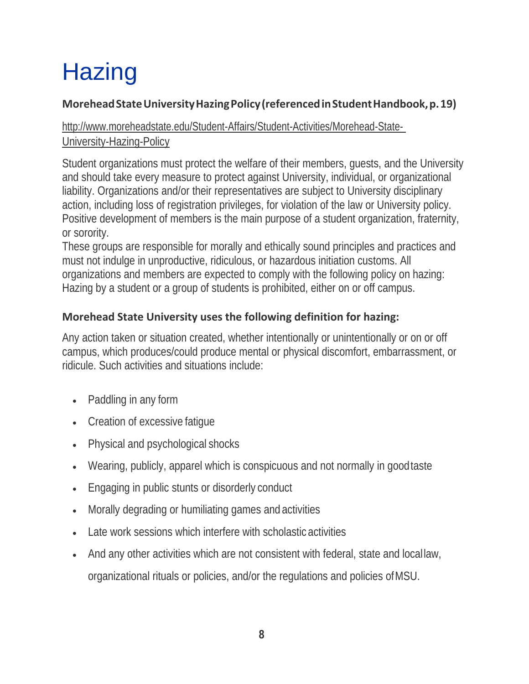## <span id="page-7-0"></span>**Hazing**

#### **MoreheadStateUniversityHazingPolicy(referencedinStudentHandbook,p.19)**

#### <http://www.moreheadstate.edu/Student-Affairs/Student-Activities/Morehead-State->University-Hazing-Policy

Student organizations must protect the welfare of their members, guests, and the University and should take every measure to protect against University, individual, or organizational liability. Organizations and/or their representatives are subject to University disciplinary action, including loss of registration privileges, for violation of the law or University policy. Positive development of members is the main purpose of a student organization, fraternity, or sorority.

These groups are responsible for morally and ethically sound principles and practices and must not indulge in unproductive, ridiculous, or hazardous initiation customs. All organizations and members are expected to comply with the following policy on hazing: Hazing by a student or a group of students is prohibited, either on or off campus.

#### **Morehead State University uses the following definition for hazing:**

Any action taken or situation created, whether intentionally or unintentionally or on or off campus, which produces/could produce mental or physical discomfort, embarrassment, or ridicule. Such activities and situations include:

- Paddling in any form
- Creation of excessive fatigue
- Physical and psychological shocks
- Wearing, publicly, apparel which is conspicuous and not normally in goodtaste
- Engaging in public stunts or disorderly conduct
- Morally degrading or humiliating games and activities
- Late work sessions which interfere with scholastic activities
- <span id="page-7-1"></span>• And any other activities which are not consistent with federal, state and locallaw, organizational rituals or policies, and/or the regulations and policies ofMSU.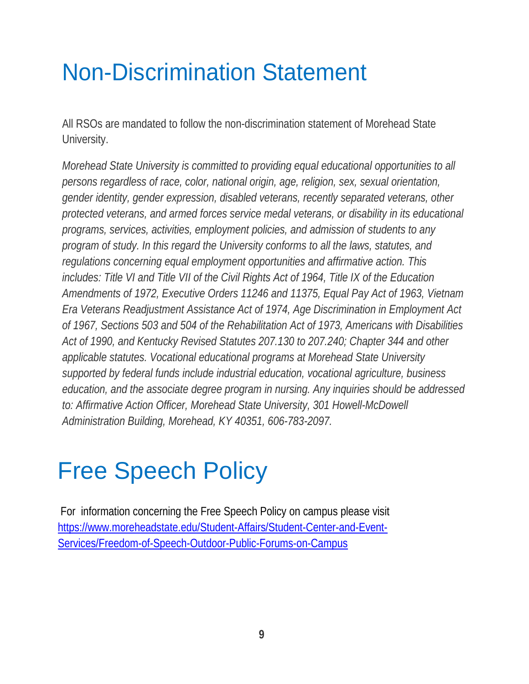## Non-Discrimination Statement

All RSOs are mandated to follow the non-discrimination statement of Morehead State University.

*Morehead State University is committed to providing equal educational opportunities to all persons regardless of race, color, national origin, age, religion, sex, sexual orientation, gender identity, gender expression, disabled veterans, recently separated veterans, other protected veterans, and armed forces service medal veterans, or disability in its educational programs, services, activities, employment policies, and admission of students to any program of study. In this regard the University conforms to all the laws, statutes, and regulations concerning equal employment opportunities and affirmative action. This includes: Title VI and Title VII of the Civil Rights Act of 1964, Title IX of the Education Amendments of 1972, Executive Orders 11246 and 11375, Equal Pay Act of 1963, Vietnam Era Veterans Readjustment Assistance Act of 1974, Age Discrimination in Employment Act of 1967, Sections 503 and 504 of the Rehabilitation Act of 1973, Americans with Disabilities Act of 1990, and Kentucky Revised Statutes 207.130 to 207.240; Chapter 344 and other applicable statutes. Vocational educational programs at Morehead State University supported by federal funds include industrial education, vocational agriculture, business education, and the associate degree program in nursing. Any inquiries should be addressed*  to: Affirmative Action Officer, Morehead State University, 301 Howell-McDowell *Administration Building, Morehead, KY 40351, 606-783-2097.*

## Free Speech Policy

For information concerning the Free Speech Policy on campus please visit [https://www.moreheadstate.edu/Student-Affairs/Student-Center-and-Event-](https://www.moreheadstate.edu/Student-Affairs/Student-Center-and-Event-Services/Freedom-of-Speech-Outdoor-Public-Forums-on-Campus)[Services/Freedom-of-Speech-Outdoor-Public-Forums-on-Campus](https://www.moreheadstate.edu/Student-Affairs/Student-Center-and-Event-Services/Freedom-of-Speech-Outdoor-Public-Forums-on-Campus)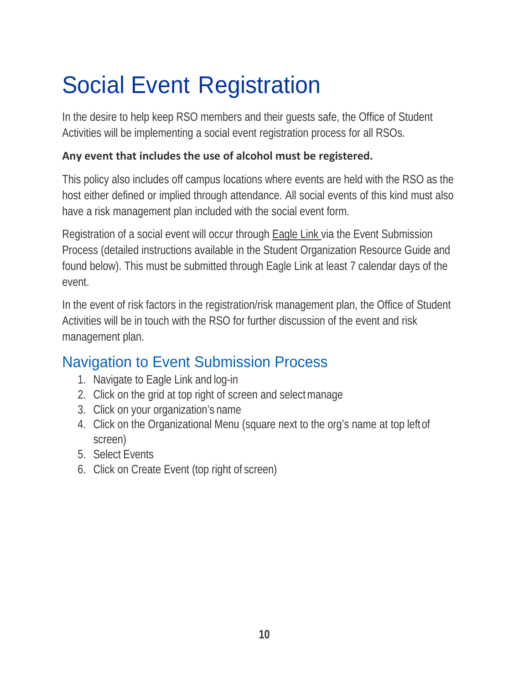## Social Event Registration

In the desire to help keep RSO members and their guests safe, the Office of Student Activities will be implementing a social event registration process for all RSOs.

#### **Any event that includes the use of alcohol must be registered.**

This policy also includes off campus locations where events are held with the RSO as the host either defined or implied through attendance. All social events of this kind must also have a risk management plan included with the social event form.

Registration of a social event will occur through Eagle Link via the Event Submission Process (detailed instructions available in the Student Organization Resource Guide and found below). This must be submitted through Eagle Link at least 7 calendar days of the event.

In the event of risk factors in the registration/risk management plan, the Office of Student Activities will be in touch with the RSO for further discussion of the event and risk management plan.

### Navigation to Event Submission Process

- 1. Navigate to Eagle Link and log-in
- 2. Click on the grid at top right of screen and selectmanage
- 3. Click on your organization's name
- 4. Click on the Organizational Menu (square next to the org's name at top leftof screen)
- 5. Select Events
- 6. Click on Create Event (top right of screen)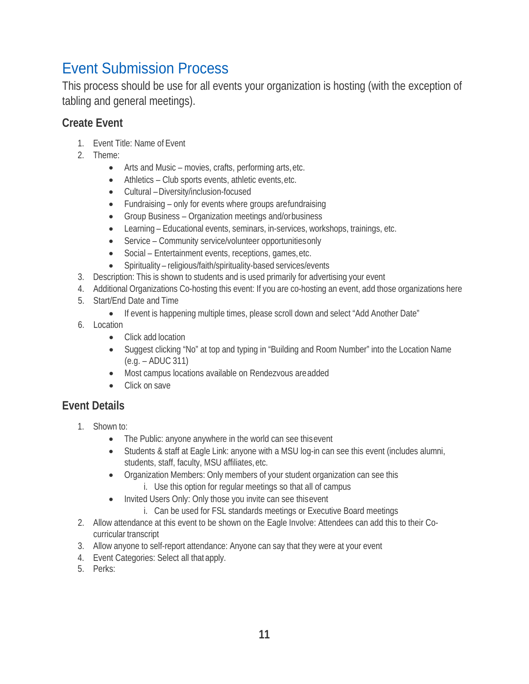### <span id="page-10-0"></span>Event Submission Process

This process should be use for all events your organization is hosting (with the exception of tabling and general meetings).

#### **Create Event**

- 1. Event Title: Name of Event
- 2. Theme:
	- Arts and Music movies, crafts, performing arts, etc.
	- Athletics Club sports events, athletic events, etc.
	- Cultural –Diversity/inclusion-focused
	- Fundraising only for events where groups arefundraising
	- Group Business Organization meetings and/orbusiness
	- Learning Educational events, seminars, in-services, workshops, trainings, etc.
	- Service Community service/volunteer opportunitiesonly
	- Social Entertainment events, receptions, games, etc.
	- Spirituality religious/faith/spirituality-based services/events
- 3. Description: This is shown to students and is used primarily for advertising your event
- 4. Additional Organizations Co-hosting this event: If you are co-hosting an event, add those organizations here
- 5. Start/End Date and Time
	- If event is happening multiple times, please scroll down and select "Add Another Date"
- 6. Location
	- Click add location
	- Suggest clicking "No" at top and typing in "Building and Room Number" into the Location Name (e.g. – ADUC 311)
	- Most campus locations available on Rendezvous areadded
	- Click on save

#### **Event Details**

- 1. Shown to:
	- The Public: anyone anywhere in the world can see this event
	- Students & staff at Eagle Link: anyone with a MSU log-in can see this event (includes alumni, students, staff, faculty, MSU affiliates,etc.
	- Organization Members: Only members of your student organization can see this i. Use this option for regular meetings so that all of campus
	- Invited Users Only: Only those you invite can see thisevent
		- i. Can be used for FSL standards meetings or Executive Board meetings
- 2. Allow attendance at this event to be shown on the Eagle Involve: Attendees can add this to their Cocurricular transcript
- 3. Allow anyone to self-report attendance: Anyone can say that they were at your event
- 4. Event Categories: Select all that apply.
- 5. Perks: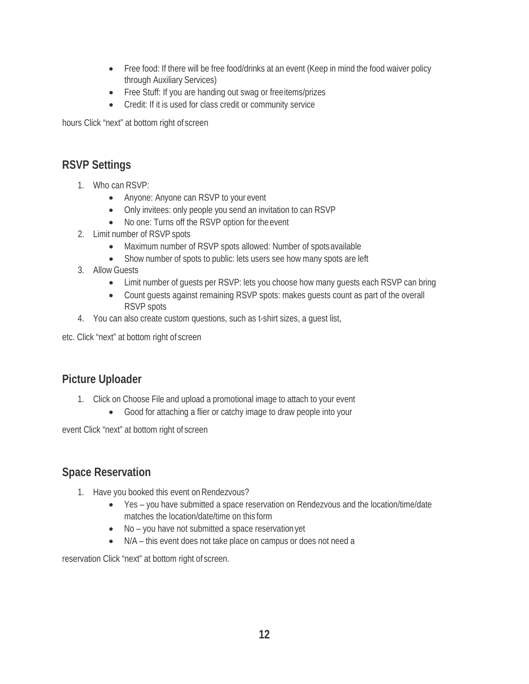- Free food: If there will be free food/drinks at an event (Keep in mind the food waiver policy through Auxiliary Services)
- Free Stuff: If you are handing out swag or freeitems/prizes
- Credit: If it is used for class credit or community service

hours Click "next" at bottom right of screen

#### **RSVP Settings**

- 1. Who can RSVP:
	- Anyone: Anyone can RSVP to your event
	- Only invitees: only people you send an invitation to can RSVP
	- No one: Turns off the RSVP option for the event
- 2. Limit number of RSVP spots
	- Maximum number of RSVP spots allowed: Number of spots available
	- Show number of spots to public: lets users see how many spots are left
- 3. Allow Guests
	- Limit number of quests per RSVP: lets you choose how many quests each RSVP can bring
	- Count guests against remaining RSVP spots: makes guests count as part of the overall RSVP spots
- 4. You can also create custom questions, such as t-shirt sizes, a guest list,

etc. Click "next" at bottom right of screen

#### **Picture Uploader**

- 1. Click on Choose File and upload a promotional image to attach to your event
	- Good for attaching a flier or catchy image to draw people into your

event Click "next" at bottom right of screen

#### **Space Reservation**

- 1. Have you booked this event on Rendezvous?
	- Yes you have submitted a space reservation on Rendezvous and the location/time/date matches the location/date/time on this form
	- No you have not submitted a space reservation yet
	- N/A this event does not take place on campus or does not need a

reservation Click "next" at bottom right of screen.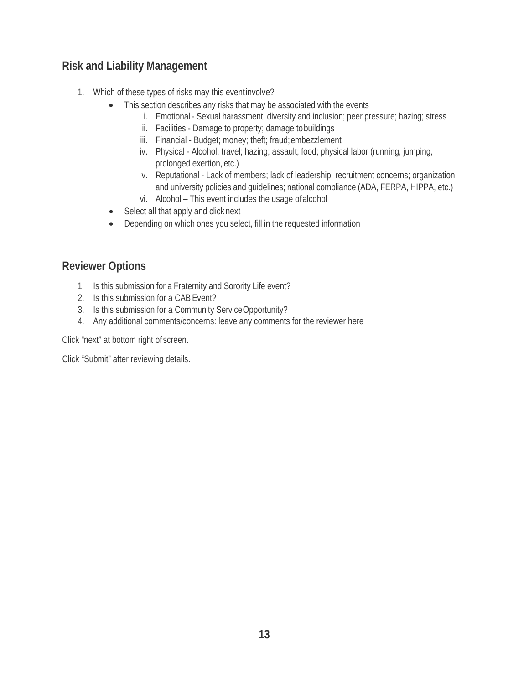#### **Risk and Liability Management**

- 1. Which of these types of risks may this eventinvolve?
	- This section describes any risks that may be associated with the events
		- i. Emotional Sexual harassment; diversity and inclusion; peer pressure; hazing; stress
		- ii. Facilities Damage to property; damage tobuildings
		- iii. Financial Budget; money; theft; fraud; embezzlement
		- iv. Physical Alcohol; travel; hazing; assault; food; physical labor (running, jumping, prolonged exertion, etc.)
		- v. Reputational Lack of members; lack of leadership; recruitment concerns; organization and university policies and guidelines; national compliance (ADA, FERPA, HIPPA, etc.)
		- vi. Alcohol This event includes the usage ofalcohol
	- Select all that apply and click next
	- Depending on which ones you select, fill in the requested information

#### **Reviewer Options**

- 1. Is this submission for a Fraternity and Sorority Life event?
- 2. Is this submission for a CAB Event?
- 3. Is this submission for a Community ServiceOpportunity?
- 4. Any additional comments/concerns: leave any comments for the reviewer here

Click "next" at bottom right of screen.

Click "Submit" after reviewing details.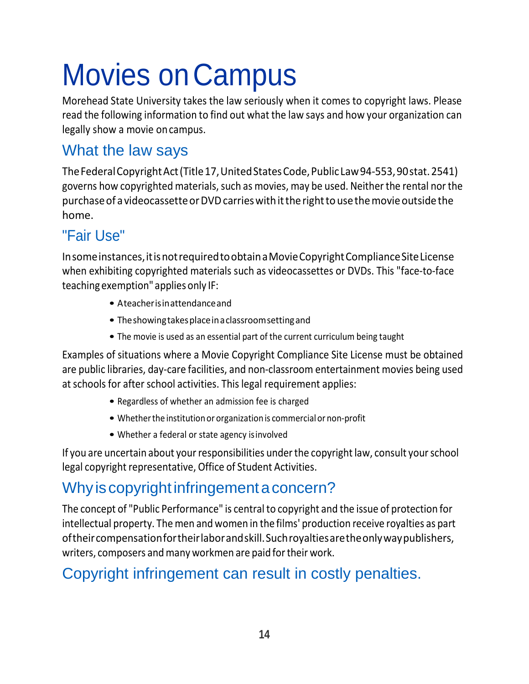# Movies on Campus

Morehead State University takes the law seriously when it comes to copyright laws. Please read the following information to find out what the law says and how your organization can legally show a movie oncampus.

### What the law says

TheFederalCopyrightAct(Title17,UnitedStatesCode,PublicLaw94-553,90stat.2541) governs how copyrighted materials, such as movies, may be used. Neither the rental nor the purchase of a videocassette or DVD carries with it the right to use the movie outside the home.

### "Fair Use"

Insomeinstances,itisnotrequiredtoobtainaMovieCopyrightComplianceSiteLicense when exhibiting copyrighted materials such as videocassettes or DVDs. This "face-to-face teaching exemption" applies only IF:

- Ateacherisinattendanceand
- Theshowingtakesplaceinaclassroomsettingand
- The movie is used as an essential part of the current curriculum being taught

Examples of situations where a Movie Copyright Compliance Site License must be obtained are public libraries, day-care facilities, and non-classroom entertainment movies being used at schools for after school activities. This legal requirement applies:

- Regardless of whether an admission fee is charged
- Whether the institution or organization is commercial or non-profit
- Whether a federal or state agency isinvolved

If you are uncertain about your responsibilities under the copyright law, consult your school legal copyright representative, Office of Student Activities.

## Why is copyright infringement a concern?

The concept of "Public Performance" is central to copyright and the issue of protection for intellectual property. The men and women in the films' production receive royalties as part oftheircompensationfortheirlaborandskill.Suchroyaltiesaretheonlywaypublishers, writers, composers and many workmen are paid for their work.

## Copyright infringement can result in costly penalties.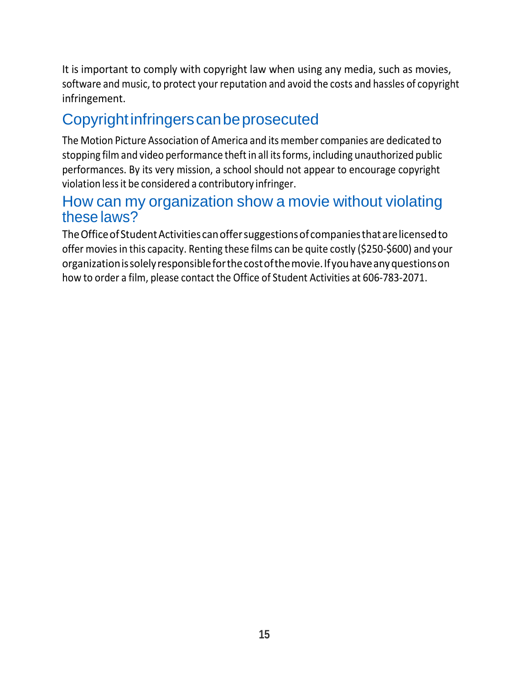It is important to comply with copyright law when using any media, such as movies, software and music, to protect your reputation and avoid the costs and hassles of copyright infringement.

### Copyright infringers can be prosecuted

The Motion Picture Association of America and its member companies are dedicated to stopping film and video performance theft in all its forms, including unauthorized public performances. By its very mission, a school should not appear to encourage copyright violation lessit be considered a contributory infringer.

#### How can my organization show a movie without violating these laws?

TheOfficeofStudentActivities canoffersuggestionsofcompaniesthatarelicensedto offer movies in this capacity. Renting these films can be quite costly (\$250-\$600) and your organizationissolelyresponsibleforthecostofthemovie.Ifyouhaveanyquestionson how to order a film, please contact the Office of Student Activities at 606-783-2071.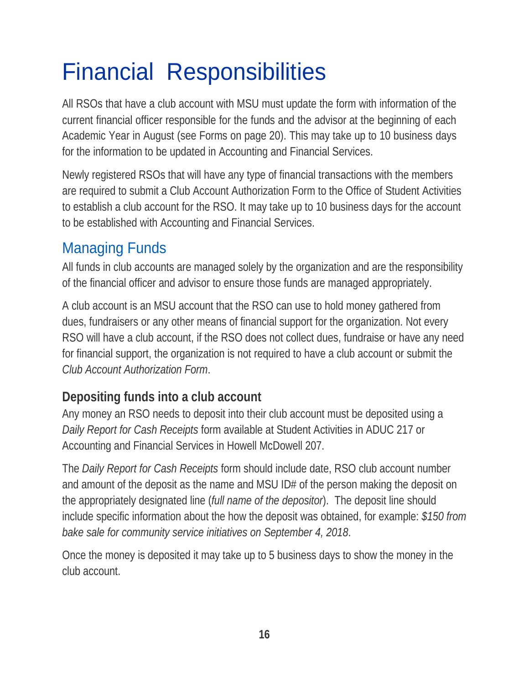## <span id="page-15-0"></span>Financial Responsibilities

All RSOs that have a club account with MSU must update the form with information of the current financial officer responsible for the funds and the advisor at the beginning of each Academic Year in August (see Forms on page 20). This may take up to 10 business days for the information to be updated in Accounting and Financial Services.

Newly registered RSOs that will have any type of financial transactions with the members are required to submit a Club Account Authorization Form to the Office of Student Activities to establish a club account for the RSO. It may take up to 10 business days for the account to be established with Accounting and Financial Services.

### Managing Funds

All funds in club accounts are managed solely by the organization and are the responsibility of the financial officer and advisor to ensure those funds are managed appropriately.

A club account is an MSU account that the RSO can use to hold money gathered from dues, fundraisers or any other means of financial support for the organization. Not every RSO will have a club account, if the RSO does not collect dues, fundraise or have any need for financial support, the organization is not required to have a club account or submit the *Club Account Authorization Form*.

### **Depositing funds into a club account**

Any money an RSO needs to deposit into their club account must be deposited using a *Daily Report for Cash Receipts* form available at Student Activities in ADUC 217 or Accounting and Financial Services in Howell McDowell 207.

The *Daily Report for Cash Receipts* form should include date, RSO club account number and amount of the deposit as the name and MSU ID# of the person making the deposit on the appropriately designated line (*full name of the depositor*). The deposit line should include specific information about the how the deposit was obtained, for example: *\$150 from bake sale for community service initiatives on September 4, 2018*.

Once the money is deposited it may take up to 5 business days to show the money in the club account.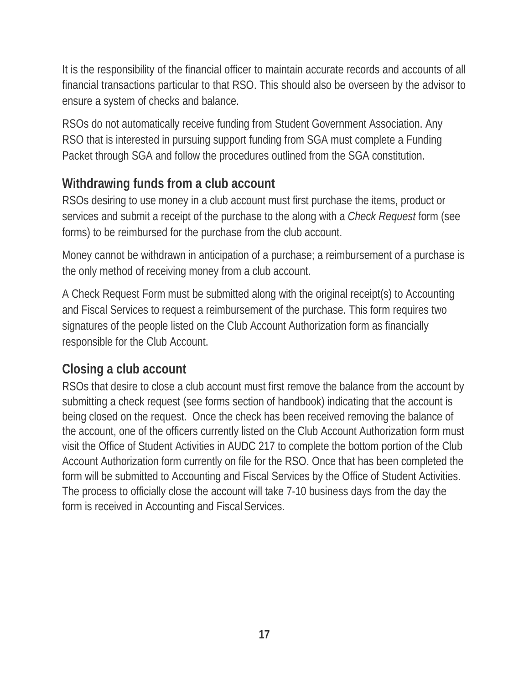It is the responsibility of the financial officer to maintain accurate records and accounts of all financial transactions particular to that RSO. This should also be overseen by the advisor to ensure a system of checks and balance.

RSOs do not automatically receive funding from Student Government Association. Any RSO that is interested in pursuing support funding from SGA must complete a Funding Packet through SGA and follow the procedures outlined from the SGA constitution.

### **Withdrawing funds from a club account**

RSOs desiring to use money in a club account must first purchase the items, product or services and submit a receipt of the purchase to the along with a *Check Request* form (see forms) to be reimbursed for the purchase from the club account.

Money cannot be withdrawn in anticipation of a purchase; a reimbursement of a purchase is the only method of receiving money from a club account.

A Check Request Form must be submitted along with the original receipt(s) to Accounting and Fiscal Services to request a reimbursement of the purchase. This form requires two signatures of the people listed on the Club Account Authorization form as financially responsible for the Club Account.

#### **Closing a club account**

RSOs that desire to close a club account must first remove the balance from the account by submitting a check request (see forms section of handbook) indicating that the account is being closed on the request. Once the check has been received removing the balance of the account, one of the officers currently listed on the Club Account Authorization form must visit the Office of Student Activities in AUDC 217 to complete the bottom portion of the Club Account Authorization form currently on file for the RSO. Once that has been completed the form will be submitted to Accounting and Fiscal Services by the Office of Student Activities. The process to officially close the account will take 7-10 business days from the day the form is received in Accounting and Fiscal Services.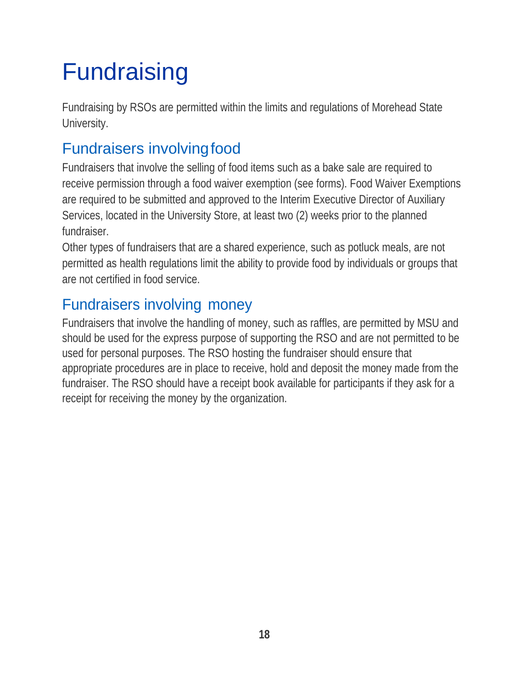## <span id="page-17-0"></span>Fundraising

Fundraising by RSOs are permitted within the limits and regulations of Morehead State University.

## <span id="page-17-1"></span>Fundraisers involvingfood

Fundraisers that involve the selling of food items such as a bake sale are required to receive permission through a food waiver exemption (see forms). Food Waiver Exemptions are required to be submitted and approved to the Interim Executive Director of Auxiliary Services, located in the University Store, at least two (2) weeks prior to the planned fundraiser.

Other types of fundraisers that are a shared experience, such as potluck meals, are not permitted as health regulations limit the ability to provide food by individuals or groups that are not certified in food service.

### <span id="page-17-2"></span>Fundraisers involving money

Fundraisers that involve the handling of money, such as raffles, are permitted by MSU and should be used for the express purpose of supporting the RSO and are not permitted to be used for personal purposes. The RSO hosting the fundraiser should ensure that appropriate procedures are in place to receive, hold and deposit the money made from the fundraiser. The RSO should have a receipt book available for participants if they ask for a receipt for receiving the money by the organization.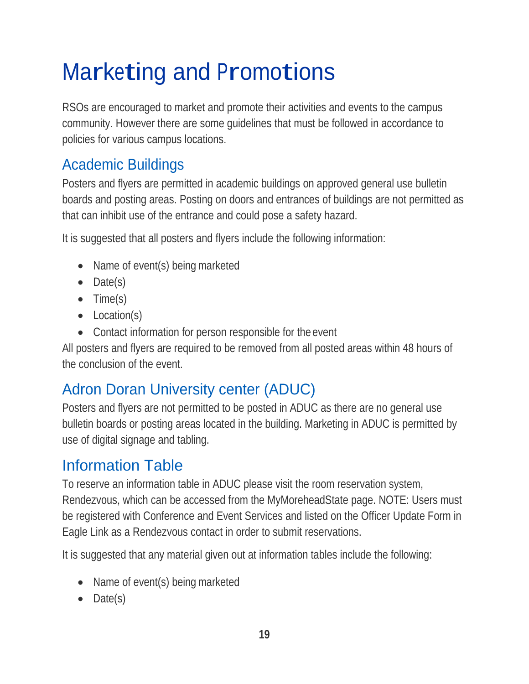## <span id="page-18-0"></span>Marketing and Promotions

RSOs are encouraged to market and promote their activities and events to the campus community. However there are some guidelines that must be followed in accordance to policies for various campus locations.

### <span id="page-18-1"></span>Academic Buildings

Posters and flyers are permitted in academic buildings on approved general use bulletin boards and posting areas. Posting on doors and entrances of buildings are not permitted as that can inhibit use of the entrance and could pose a safety hazard.

It is suggested that all posters and flyers include the following information:

- Name of event(s) being marketed
- Date(s)
- Time(s)
- Location(s)
- Contact information for person responsible for the event

All posters and flyers are required to be removed from all posted areas within 48 hours of the conclusion of the event.

## <span id="page-18-2"></span>Adron Doran University center (ADUC)

Posters and flyers are not permitted to be posted in ADUC as there are no general use bulletin boards or posting areas located in the building. Marketing in ADUC is permitted by use of digital signage and tabling.

## Information Table

To reserve an information table in ADUC please visit the room reservation system, Rendezvous, which can be accessed from the MyMoreheadState page. NOTE: Users must be registered with Conference and Event Services and listed on the Officer Update Form in Eagle Link as a Rendezvous contact in order to submit reservations.

It is suggested that any material given out at information tables include the following:

- Name of event(s) being marketed
- Date(s)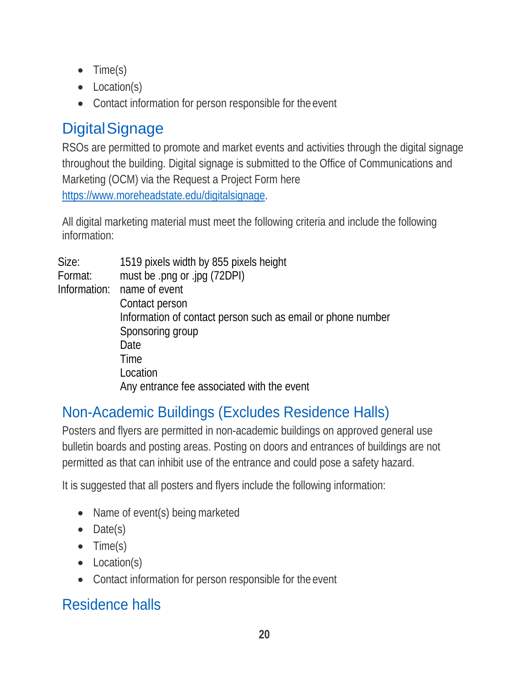- Time(s)
- Location(s)
- Contact information for person responsible for the event

## **DigitalSignage**

RSOs are permitted to promote and market events and activities through the digital signage throughout the building. Digital signage is submitted to the Office of Communications and Marketing (OCM) via the Request a Project Form here [https://www.moreheadstate.edu/digitalsignage.](https://www.moreheadstate.edu/digitalsignage)

All digital marketing material must meet the following criteria and include the following information:

| Size:        | 1519 pixels width by 855 pixels height                      |
|--------------|-------------------------------------------------------------|
| Format:      | must be .png or .jpg (72DPI)                                |
| Information: | name of event                                               |
|              | Contact person                                              |
|              | Information of contact person such as email or phone number |
|              | Sponsoring group                                            |
|              | Date                                                        |
|              | Time                                                        |
|              | Location                                                    |
|              | Any entrance fee associated with the event                  |

## Non-Academic Buildings (Excludes Residence Halls)

Posters and flyers are permitted in non-academic buildings on approved general use bulletin boards and posting areas. Posting on doors and entrances of buildings are not permitted as that can inhibit use of the entrance and could pose a safety hazard.

It is suggested that all posters and flyers include the following information:

- Name of event(s) being marketed
- Date(s)
- Time(s)
- Location(s)
- Contact information for person responsible for the event

## <span id="page-19-0"></span>Residence halls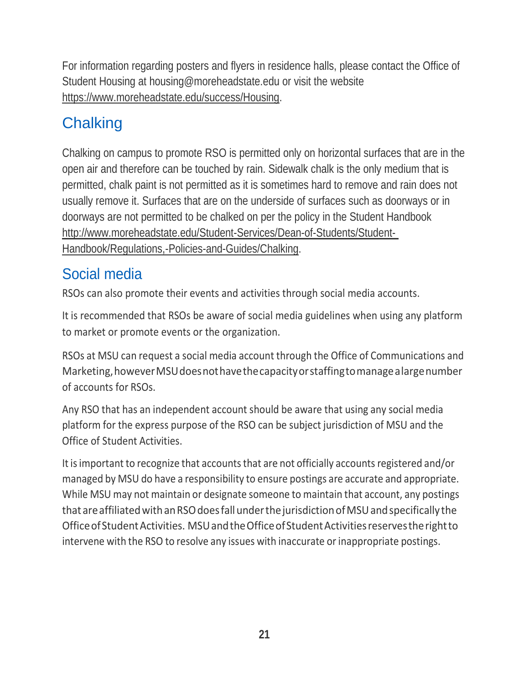For information regarding posters and flyers in residence halls, please contact the Office of Student Housing at [housing@moreheadstate.edu](mailto:housing@moreheadstate.edu) or visit the website https:/[/www.moreheadstate.edu/success/Housing.](http://www.moreheadstate.edu/success/Housing)

## <span id="page-20-0"></span>**Chalking**

Chalking on campus to promote RSO is permitted only on horizontal surfaces that are in the open air and therefore can be touched by rain. Sidewalk chalk is the only medium that is permitted, chalk paint is not permitted as it is sometimes hard to remove and rain does not usually remove it. Surfaces that are on the underside of surfaces such as doorways or in doorways are not permitted to be chalked on per the policy in the Student Handbook <http://www.moreheadstate.edu/Student-Services/Dean-of-Students/Student->Handbook/Regulations,-Policies-and-Guides/Chalking.

### <span id="page-20-1"></span>Social media

RSOs can also promote their events and activities through social media accounts.

It is recommended that RSOs be aware of social media guidelines when using any platform to market or promote events or the organization.

RSOs at MSU can request a social media account through the Office of Communications and Marketing, however MSU does not have the capacity or staffing to manage a large number of accounts for RSOs.

Any RSO that has an independent account should be aware that using any social media platform for the express purpose of the RSO can be subject jurisdiction of MSU and the Office of Student Activities.

It is important to recognize that accounts that are not officially accounts registered and/or managed by MSU do have a responsibility to ensure postings are accurate and appropriate. While MSU may not maintain or designate someone to maintain that account, any postings that are affiliated with an RSO does fall under the jurisdiction of MSU and specifically the OfficeofStudentActivities. MSUandtheOfficeofStudentActivitiesreservestherightto intervene with the RSO to resolve any issues with inaccurate or inappropriate postings.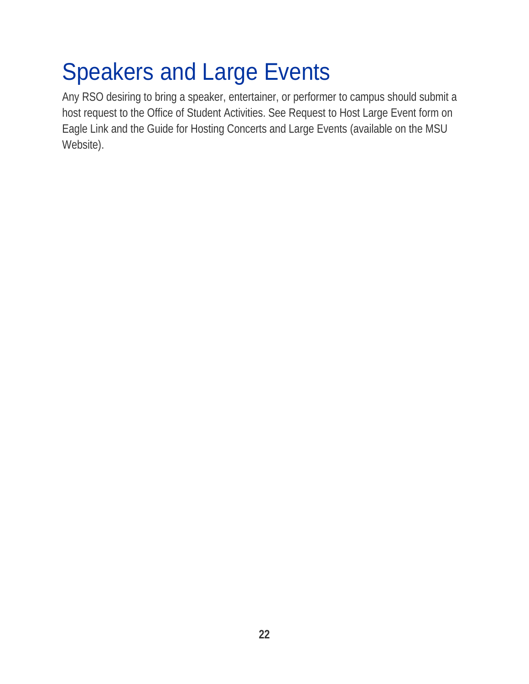## <span id="page-21-0"></span>Speakers and Large Events

Any RSO desiring to bring a speaker, entertainer, or performer to campus should submit a host request to the Office of Student Activities. See Request to Host Large Event form on Eagle Link and the Guide for Hosting Concerts and Large Events (available on the MSU Website).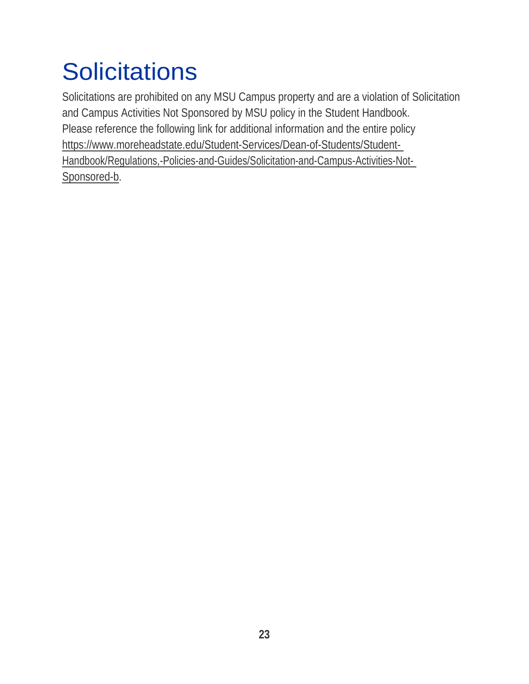## <span id="page-22-0"></span>**Solicitations**

Solicitations are prohibited on any MSU Campus property and are a violation of Solicitation and Campus Activities Not Sponsored by MSU policy in the Student Handbook. Please reference the following link for additional information and the entire policy https:/[/www.moreheadstate.edu/Student-Services/Dean-of-Students/Student-](http://www.moreheadstate.edu/Student-Services/Dean-of-Students/Student-)Handbook/Regulations,-Policies-and-Guides/Solicitation-and-Campus-Activities-Not-Sponsored-b.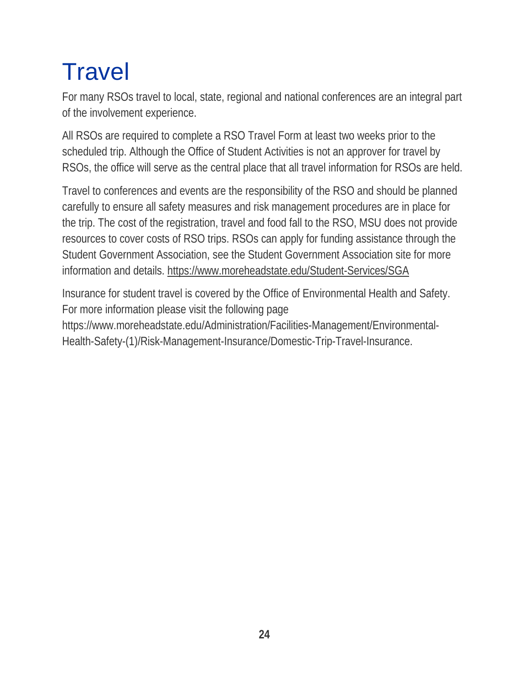## <span id="page-23-0"></span>**Travel**

For many RSOs travel to local, state, regional and national conferences are an integral part of the involvement experience.

All RSOs are required to complete a RSO Travel Form at least two weeks prior to the scheduled trip. Although the Office of Student Activities is not an approver for travel by RSOs, the office will serve as the central place that all travel information for RSOs are held.

Travel to conferences and events are the responsibility of the RSO and should be planned carefully to ensure all safety measures and risk management procedures are in place for the trip. The cost of the registration, travel and food fall to the RSO, MSU does not provide resources to cover costs of RSO trips. RSOs can apply for funding assistance through the Student Government Association, see the Student Government Association site for more information and details. https:/[/www.moreheadstate.edu/Student-Services/SGA](http://www.moreheadstate.edu/Student-Services/SGA)

Insurance for student travel is covered by the Office of Environmental Health and Safety. For more information please visit the following page

[https://www.moreheadstate.edu/Administration/Facilities-Management/Environmental-](http://www.moreheadstate.edu/Administration/Facilities-Management/Environmental-)Health-Safety-(1)/Risk-Management-Insurance/Domestic-Trip-Travel-Insurance.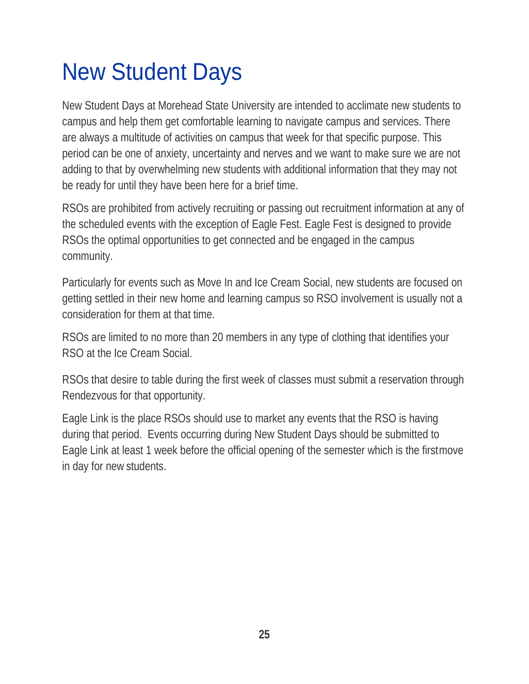## <span id="page-24-0"></span>New Student Days

New Student Days at Morehead State University are intended to acclimate new students to campus and help them get comfortable learning to navigate campus and services. There are always a multitude of activities on campus that week for that specific purpose. This period can be one of anxiety, uncertainty and nerves and we want to make sure we are not adding to that by overwhelming new students with additional information that they may not be ready for until they have been here for a brief time.

RSOs are prohibited from actively recruiting or passing out recruitment information at any of the scheduled events with the exception of Eagle Fest. Eagle Fest is designed to provide RSOs the optimal opportunities to get connected and be engaged in the campus community.

Particularly for events such as Move In and Ice Cream Social, new students are focused on getting settled in their new home and learning campus so RSO involvement is usually not a consideration for them at that time.

RSOs are limited to no more than 20 members in any type of clothing that identifies your RSO at the Ice Cream Social.

RSOs that desire to table during the first week of classes must submit a reservation through Rendezvous for that opportunity.

Eagle Link is the place RSOs should use to market any events that the RSO is having during that period. Events occurring during New Student Days should be submitted to Eagle Link at least 1 week before the official opening of the semester which is the firstmove in day for new students.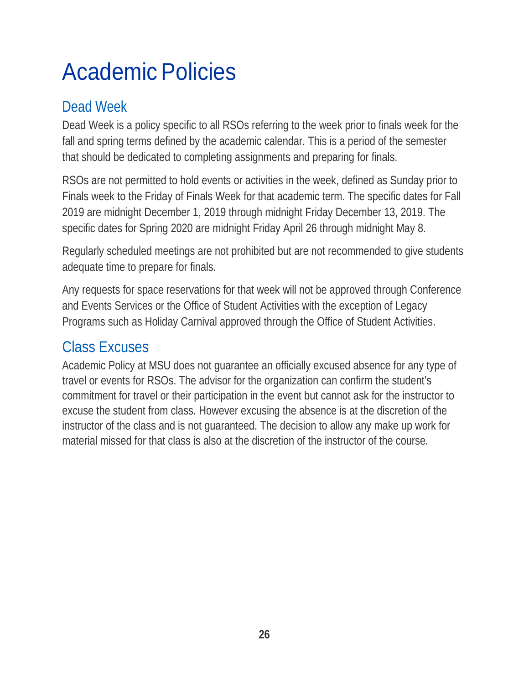## <span id="page-25-0"></span>Academic Policies

### <span id="page-25-1"></span>Dead Week

Dead Week is a policy specific to all RSOs referring to the week prior to finals week for the fall and spring terms defined by the academic calendar. This is a period of the semester that should be dedicated to completing assignments and preparing for finals.

RSOs are not permitted to hold events or activities in the week, defined as Sunday prior to Finals week to the Friday of Finals Week for that academic term. The specific dates for Fall 2019 are midnight December 1, 2019 through midnight Friday December 13, 2019. The specific dates for Spring 2020 are midnight Friday April 26 through midnight May 8.

Regularly scheduled meetings are not prohibited but are not recommended to give students adequate time to prepare for finals.

Any requests for space reservations for that week will not be approved through Conference and Events Services or the Office of Student Activities with the exception of Legacy Programs such as Holiday Carnival approved through the Office of Student Activities.

### <span id="page-25-2"></span>Class Excuses

Academic Policy at MSU does not guarantee an officially excused absence for any type of travel or events for RSOs. The advisor for the organization can confirm the student's commitment for travel or their participation in the event but cannot ask for the instructor to excuse the student from class. However excusing the absence is at the discretion of the instructor of the class and is not guaranteed. The decision to allow any make up work for material missed for that class is also at the discretion of the instructor of the course.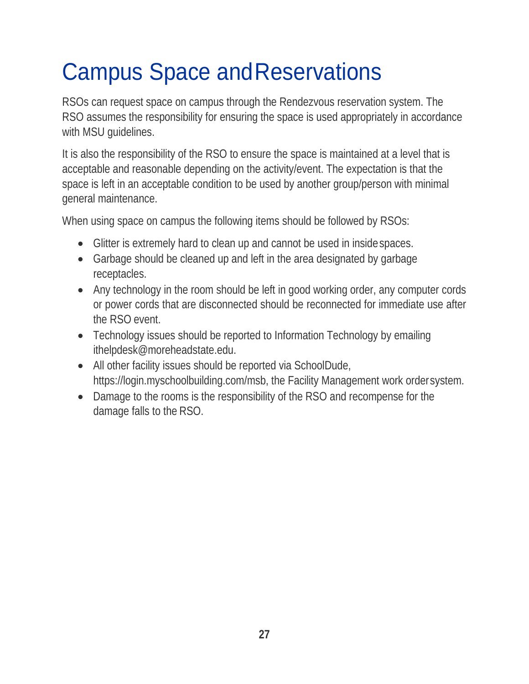## <span id="page-26-0"></span>Campus Space andReservations

RSOs can request space on campus through the Rendezvous reservation system. The RSO assumes the responsibility for ensuring the space is used appropriately in accordance with MSU guidelines.

It is also the responsibility of the RSO to ensure the space is maintained at a level that is acceptable and reasonable depending on the activity/event. The expectation is that the space is left in an acceptable condition to be used by another group/person with minimal general maintenance.

When using space on campus the following items should be followed by RSOs:

- Glitter is extremely hard to clean up and cannot be used in insidespaces.
- Garbage should be cleaned up and left in the area designated by garbage receptacles.
- Any technology in the room should be left in good working order, any computer cords or power cords that are disconnected should be reconnected for immediate use after the RSO event.
- Technology issues should be reported to Information Technology by emailing [ithelpdesk@moreheadstate.edu.](mailto:ithelpdesk@moreheadstate.edu)
- All other facility issues should be reported via SchoolDude, https://login.myschoolbuilding.com/msb, the Facility Management work ordersystem.
- Damage to the rooms is the responsibility of the RSO and recompense for the damage falls to the RSO.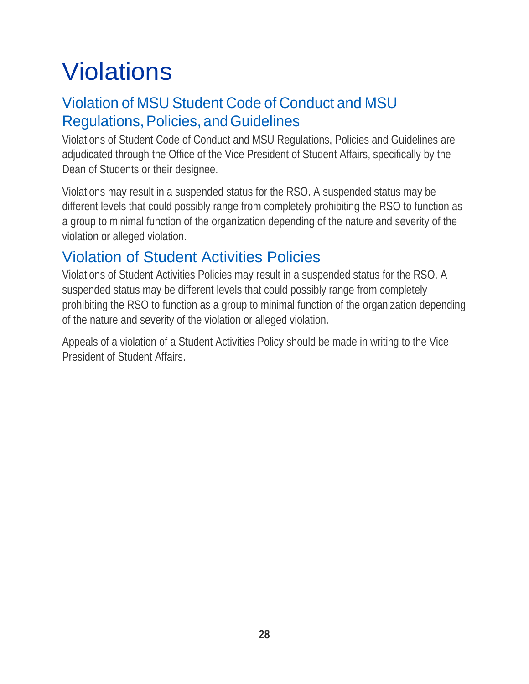## <span id="page-27-0"></span>**Violations**

### Violation of MSU Student Code of Conduct and MSU Regulations, Policies, and Guidelines

Violations of Student Code of Conduct and MSU Regulations, Policies and Guidelines are adjudicated through the Office of the Vice President of Student Affairs, specifically by the Dean of Students or their designee.

Violations may result in a suspended status for the RSO. A suspended status may be different levels that could possibly range from completely prohibiting the RSO to function as a group to minimal function of the organization depending of the nature and severity of the violation or alleged violation.

### <span id="page-27-1"></span>Violation of Student Activities Policies

Violations of Student Activities Policies may result in a suspended status for the RSO. A suspended status may be different levels that could possibly range from completely prohibiting the RSO to function as a group to minimal function of the organization depending of the nature and severity of the violation or alleged violation.

Appeals of a violation of a Student Activities Policy should be made in writing to the Vice President of Student Affairs.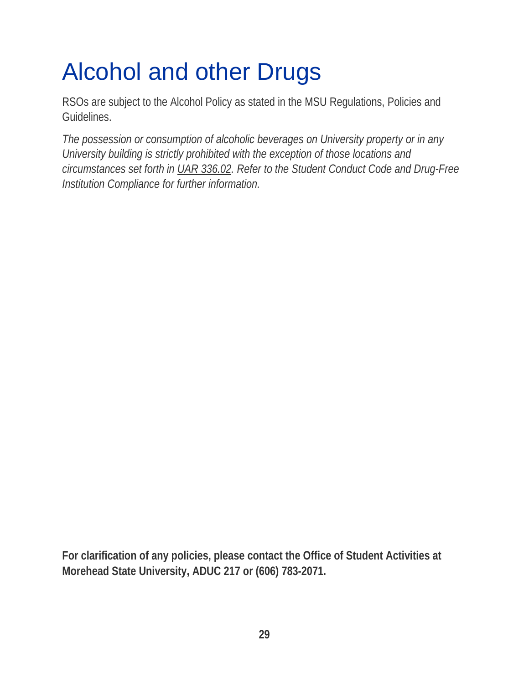## <span id="page-28-0"></span>Alcohol and other Drugs

RSOs are subject to the Alcohol Policy as stated in the MSU Regulations, Policies and Guidelines.

*The possession or consumption of alcoholic beverages on University property or in any University building is strictly prohibited with the exception of those locations and circumstances set forth in UAR 336.02. Refer to the Student Conduct Code and Drug-Free Institution Compliance for further information.*

**For clarification of any policies, please contact the Office of Student Activities at Morehead State University, ADUC 217 or (606) 783-2071.**